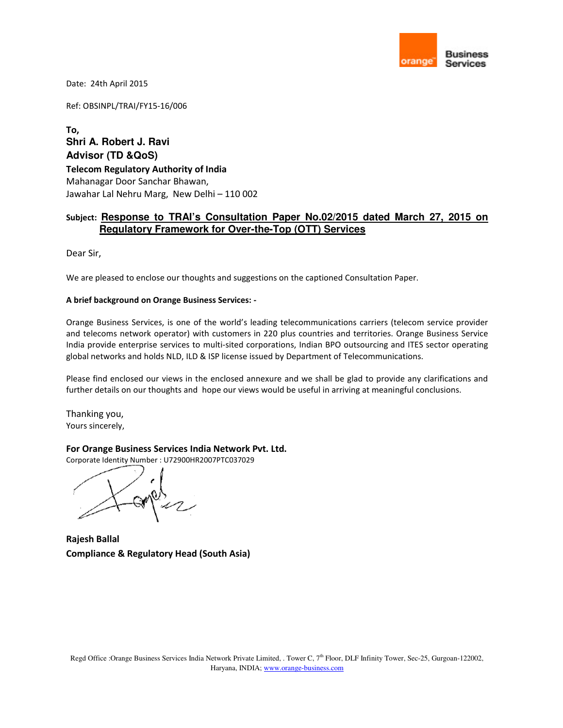

Date: 24th April 2015

Ref: OBSINPL/TRAI/FY15-16/006

**To, Shri A. Robert J. Ravi Advisor (TD &QoS) Telecom Regulatory Authority of India**  Mahanagar Door Sanchar Bhawan, Jawahar Lal Nehru Marg, New Delhi – 110 002

### **Subject: Response to TRAI's Consultation Paper No.02/2015 dated March 27, 2015 on Regulatory Framework for Over-the-Top (OTT) Services**

Dear Sir,

We are pleased to enclose our thoughts and suggestions on the captioned Consultation Paper.

#### **A brief background on Orange Business Services: -**

Orange Business Services, is one of the world's leading telecommunications carriers (telecom service provider and telecoms network operator) with customers in 220 plus countries and territories. Orange Business Service India provide enterprise services to multi-sited corporations, Indian BPO outsourcing and ITES sector operating global networks and holds NLD, ILD & ISP license issued by Department of Telecommunications.

Please find enclosed our views in the enclosed annexure and we shall be glad to provide any clarifications and further details on our thoughts and hope our views would be useful in arriving at meaningful conclusions.

Thanking you, Yours sincerely,

#### **For Orange Business Services India Network Pvt. Ltd.**

Corporate Identity Number : U72900HR2007PTC037029

**Rajesh Ballal Compliance & Regulatory Head (South Asia)**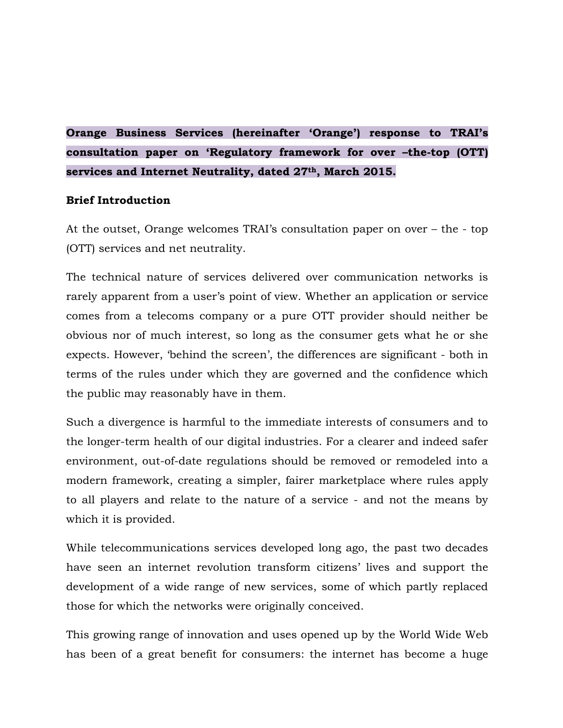# **Orange Business Services (hereinafter 'Orange') response to TRAI's consultation paper on 'Regulatory framework for over –the-top (OTT) services and Internet Neutrality, dated 27th, March 2015.**

### **Brief Introduction**

At the outset, Orange welcomes TRAI's consultation paper on over – the - top (OTT) services and net neutrality.

The technical nature of services delivered over communication networks is rarely apparent from a user's point of view. Whether an application or service comes from a telecoms company or a pure OTT provider should neither be obvious nor of much interest, so long as the consumer gets what he or she expects. However, 'behind the screen', the differences are significant - both in terms of the rules under which they are governed and the confidence which the public may reasonably have in them.

Such a divergence is harmful to the immediate interests of consumers and to the longer-term health of our digital industries. For a clearer and indeed safer environment, out-of-date regulations should be removed or remodeled into a modern framework, creating a simpler, fairer marketplace where rules apply to all players and relate to the nature of a service - and not the means by which it is provided.

While telecommunications services developed long ago, the past two decades have seen an internet revolution transform citizens' lives and support the development of a wide range of new services, some of which partly replaced those for which the networks were originally conceived.

This growing range of innovation and uses opened up by the World Wide Web has been of a great benefit for consumers: the internet has become a huge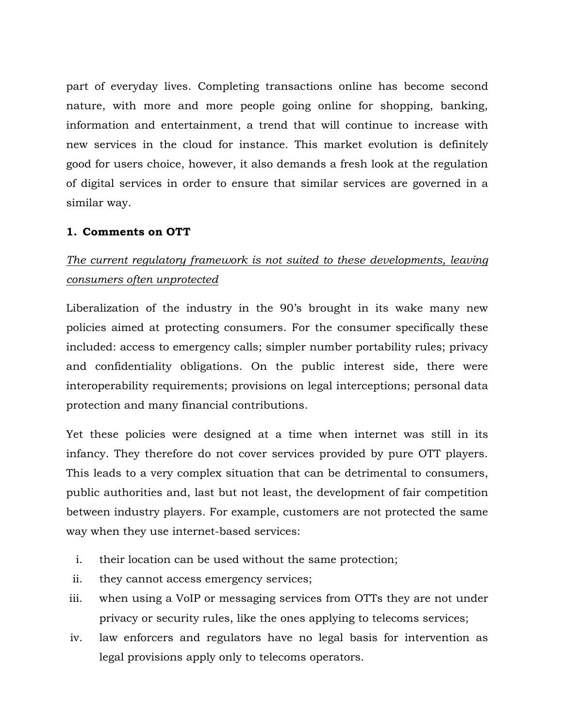part of everyday lives. Completing transactions online has become second nature, with more and more people going online for shopping, banking, information and entertainment, a trend that will continue to increase with new services in the cloud for instance. This market evolution is definitely good for users choice, however, it also demands a fresh look at the regulation of digital services in order to ensure that similar services are governed in a similar way.

### **1. Comments on OTT**

# *The current regulatory framework is not suited to these developments, leaving consumers often unprotected*

Liberalization of the industry in the 90's brought in its wake many new policies aimed at protecting consumers. For the consumer specifically these included: access to emergency calls; simpler number portability rules; privacy and confidentiality obligations. On the public interest side, there were interoperability requirements; provisions on legal interceptions; personal data protection and many financial contributions.

Yet these policies were designed at a time when internet was still in its infancy. They therefore do not cover services provided by pure OTT players. This leads to a very complex situation that can be detrimental to consumers, public authorities and, last but not least, the development of fair competition between industry players. For example, customers are not protected the same way when they use internet-based services:

- i. their location can be used without the same protection;
- ii. they cannot access emergency services;
- iii. when using a VoIP or messaging services from OTTs they are not under privacy or security rules, like the ones applying to telecoms services;
- iv. law enforcers and regulators have no legal basis for intervention as legal provisions apply only to telecoms operators.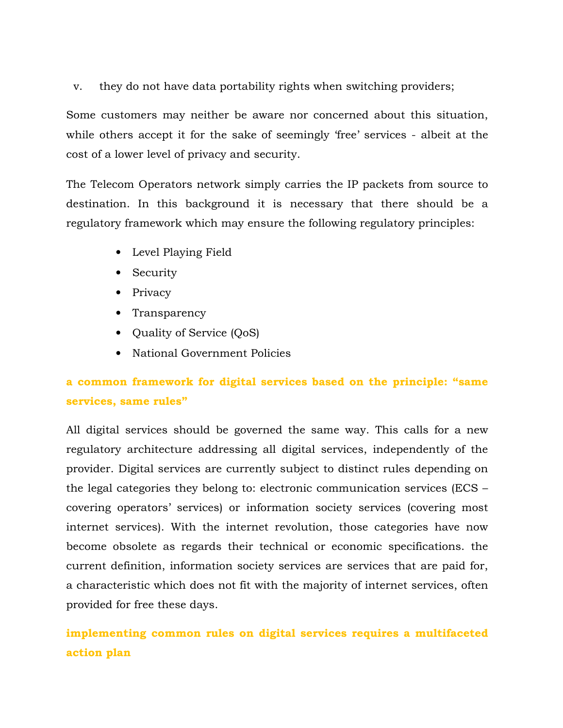v. they do not have data portability rights when switching providers;

Some customers may neither be aware nor concerned about this situation, while others accept it for the sake of seemingly 'free' services - albeit at the cost of a lower level of privacy and security.

The Telecom Operators network simply carries the IP packets from source to destination. In this background it is necessary that there should be a regulatory framework which may ensure the following regulatory principles:

- Level Playing Field
- Security
- Privacy
- Transparency
- Quality of Service (QoS)
- National Government Policies

# **a common framework for digital services based on the principle: "same services, same rules"**

All digital services should be governed the same way. This calls for a new regulatory architecture addressing all digital services, independently of the provider. Digital services are currently subject to distinct rules depending on the legal categories they belong to: electronic communication services (ECS – covering operators' services) or information society services (covering most internet services). With the internet revolution, those categories have now become obsolete as regards their technical or economic specifications. the current definition, information society services are services that are paid for, a characteristic which does not fit with the majority of internet services, often provided for free these days.

# **implementing common rules on digital services requires a multifaceted action plan**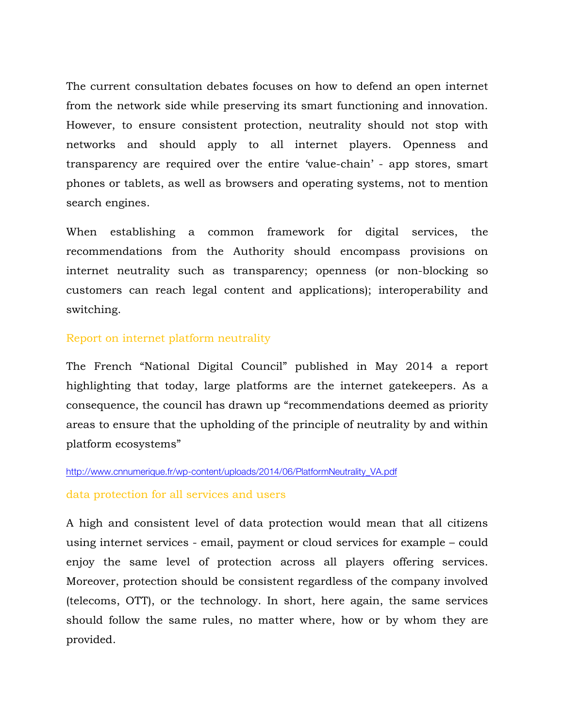The current consultation debates focuses on how to defend an open internet from the network side while preserving its smart functioning and innovation. However, to ensure consistent protection, neutrality should not stop with networks and should apply to all internet players. Openness and transparency are required over the entire 'value-chain' - app stores, smart phones or tablets, as well as browsers and operating systems, not to mention search engines.

When establishing a common framework for digital services, the recommendations from the Authority should encompass provisions on internet neutrality such as transparency; openness (or non-blocking so customers can reach legal content and applications); interoperability and switching.

### Report on internet platform neutrality

The French "National Digital Council" published in May 2014 a report highlighting that today, large platforms are the internet gatekeepers. As a consequence, the council has drawn up "recommendations deemed as priority areas to ensure that the upholding of the principle of neutrality by and within platform ecosystems"

#### http://www.cnnumerique.fr/wp-content/uploads/2014/06/PlatformNeutrality\_VA.pdf

#### data protection for all services and users

A high and consistent level of data protection would mean that all citizens using internet services - email, payment or cloud services for example – could enjoy the same level of protection across all players offering services. Moreover, protection should be consistent regardless of the company involved (telecoms, OTT), or the technology. In short, here again, the same services should follow the same rules, no matter where, how or by whom they are provided.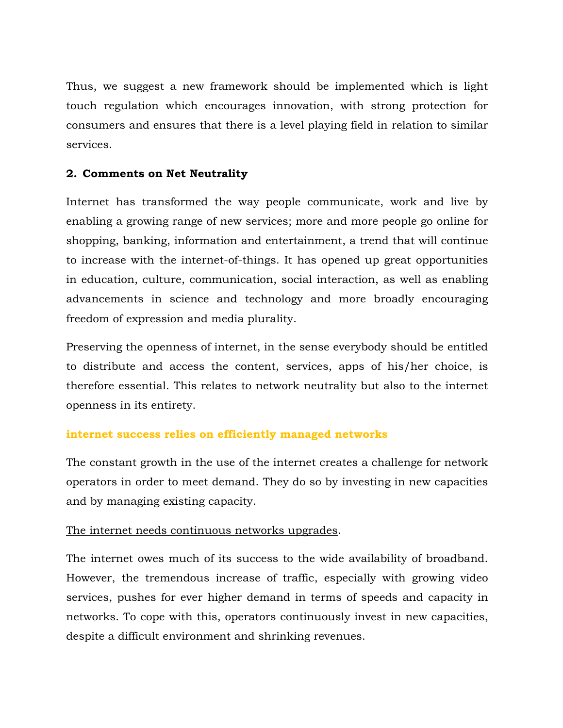Thus, we suggest a new framework should be implemented which is light touch regulation which encourages innovation, with strong protection for consumers and ensures that there is a level playing field in relation to similar services.

### **2. Comments on Net Neutrality**

Internet has transformed the way people communicate, work and live by enabling a growing range of new services; more and more people go online for shopping, banking, information and entertainment, a trend that will continue to increase with the internet-of-things. It has opened up great opportunities in education, culture, communication, social interaction, as well as enabling advancements in science and technology and more broadly encouraging freedom of expression and media plurality.

Preserving the openness of internet, in the sense everybody should be entitled to distribute and access the content, services, apps of his/her choice, is therefore essential. This relates to network neutrality but also to the internet openness in its entirety.

### **internet success relies on efficiently managed networks**

The constant growth in the use of the internet creates a challenge for network operators in order to meet demand. They do so by investing in new capacities and by managing existing capacity.

### The internet needs continuous networks upgrades.

The internet owes much of its success to the wide availability of broadband. However, the tremendous increase of traffic, especially with growing video services, pushes for ever higher demand in terms of speeds and capacity in networks. To cope with this, operators continuously invest in new capacities, despite a difficult environment and shrinking revenues.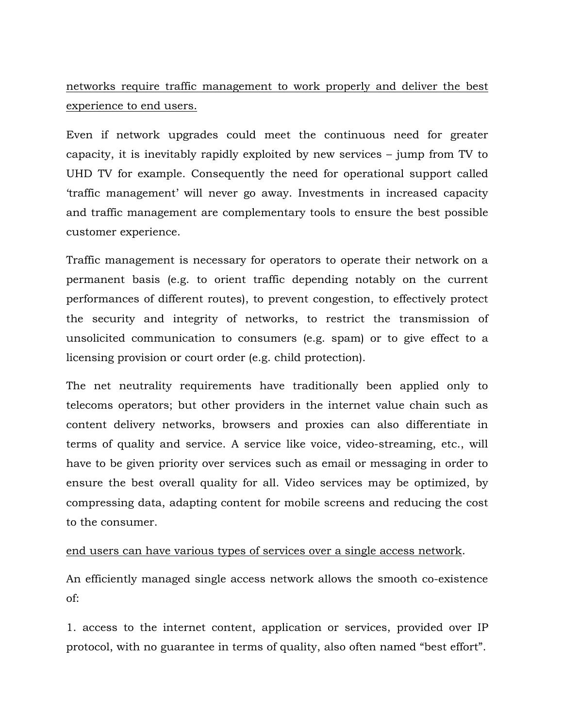# networks require traffic management to work properly and deliver the best experience to end users.

Even if network upgrades could meet the continuous need for greater capacity, it is inevitably rapidly exploited by new services – jump from TV to UHD TV for example. Consequently the need for operational support called 'traffic management' will never go away. Investments in increased capacity and traffic management are complementary tools to ensure the best possible customer experience.

Traffic management is necessary for operators to operate their network on a permanent basis (e.g. to orient traffic depending notably on the current performances of different routes), to prevent congestion, to effectively protect the security and integrity of networks, to restrict the transmission of unsolicited communication to consumers (e.g. spam) or to give effect to a licensing provision or court order (e.g. child protection).

The net neutrality requirements have traditionally been applied only to telecoms operators; but other providers in the internet value chain such as content delivery networks, browsers and proxies can also differentiate in terms of quality and service. A service like voice, video-streaming, etc., will have to be given priority over services such as email or messaging in order to ensure the best overall quality for all. Video services may be optimized, by compressing data, adapting content for mobile screens and reducing the cost to the consumer.

### end users can have various types of services over a single access network.

An efficiently managed single access network allows the smooth co-existence of:

1. access to the internet content, application or services, provided over IP protocol, with no guarantee in terms of quality, also often named "best effort".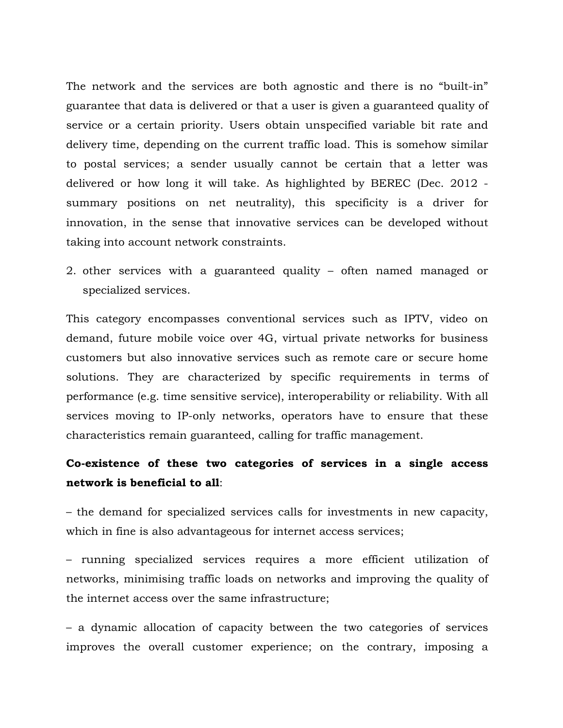The network and the services are both agnostic and there is no "built-in" guarantee that data is delivered or that a user is given a guaranteed quality of service or a certain priority. Users obtain unspecified variable bit rate and delivery time, depending on the current traffic load. This is somehow similar to postal services; a sender usually cannot be certain that a letter was delivered or how long it will take. As highlighted by BEREC (Dec. 2012 summary positions on net neutrality), this specificity is a driver for innovation, in the sense that innovative services can be developed without taking into account network constraints.

2. other services with a guaranteed quality – often named managed or specialized services.

This category encompasses conventional services such as IPTV, video on demand, future mobile voice over 4G, virtual private networks for business customers but also innovative services such as remote care or secure home solutions. They are characterized by specific requirements in terms of performance (e.g. time sensitive service), interoperability or reliability. With all services moving to IP-only networks, operators have to ensure that these characteristics remain guaranteed, calling for traffic management.

## **Co-existence of these two categories of services in a single access network is beneficial to all**:

– the demand for specialized services calls for investments in new capacity, which in fine is also advantageous for internet access services;

– running specialized services requires a more efficient utilization of networks, minimising traffic loads on networks and improving the quality of the internet access over the same infrastructure;

– a dynamic allocation of capacity between the two categories of services improves the overall customer experience; on the contrary, imposing a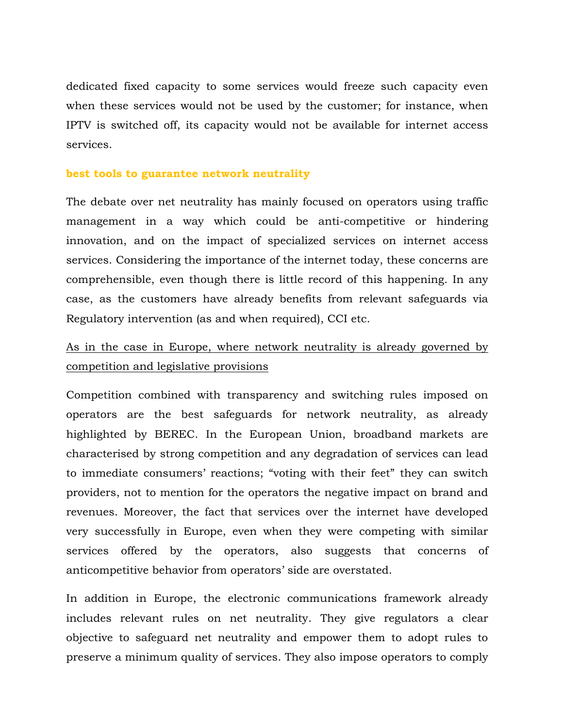dedicated fixed capacity to some services would freeze such capacity even when these services would not be used by the customer; for instance, when IPTV is switched off, its capacity would not be available for internet access services.

### **best tools to guarantee network neutrality**

The debate over net neutrality has mainly focused on operators using traffic management in a way which could be anti-competitive or hindering innovation, and on the impact of specialized services on internet access services. Considering the importance of the internet today, these concerns are comprehensible, even though there is little record of this happening. In any case, as the customers have already benefits from relevant safeguards via Regulatory intervention (as and when required), CCI etc.

## As in the case in Europe, where network neutrality is already governed by competition and legislative provisions

Competition combined with transparency and switching rules imposed on operators are the best safeguards for network neutrality, as already highlighted by BEREC. In the European Union, broadband markets are characterised by strong competition and any degradation of services can lead to immediate consumers' reactions; "voting with their feet" they can switch providers, not to mention for the operators the negative impact on brand and revenues. Moreover, the fact that services over the internet have developed very successfully in Europe, even when they were competing with similar services offered by the operators, also suggests that concerns of anticompetitive behavior from operators' side are overstated.

In addition in Europe, the electronic communications framework already includes relevant rules on net neutrality. They give regulators a clear objective to safeguard net neutrality and empower them to adopt rules to preserve a minimum quality of services. They also impose operators to comply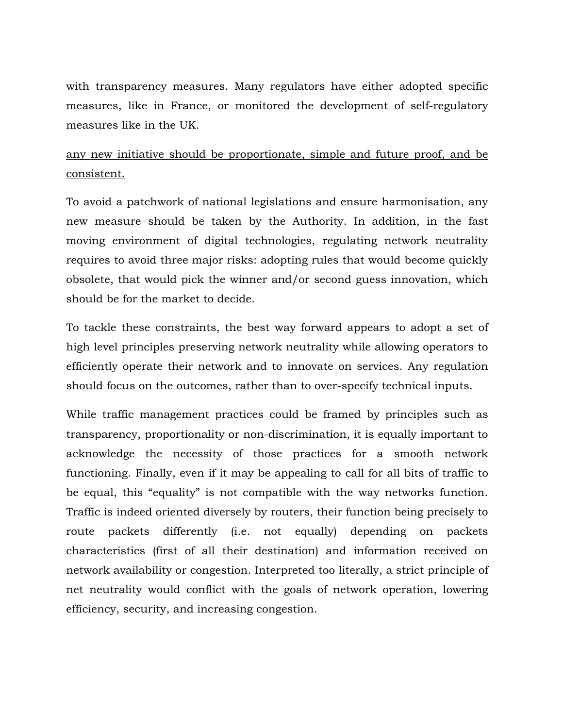with transparency measures. Many regulators have either adopted specific measures, like in France, or monitored the development of self-regulatory measures like in the UK.

# any new initiative should be proportionate, simple and future proof, and be consistent.

To avoid a patchwork of national legislations and ensure harmonisation, any new measure should be taken by the Authority. In addition, in the fast moving environment of digital technologies, regulating network neutrality requires to avoid three major risks: adopting rules that would become quickly obsolete, that would pick the winner and/or second guess innovation, which should be for the market to decide.

To tackle these constraints, the best way forward appears to adopt a set of high level principles preserving network neutrality while allowing operators to efficiently operate their network and to innovate on services. Any regulation should focus on the outcomes, rather than to over-specify technical inputs.

While traffic management practices could be framed by principles such as transparency, proportionality or non-discrimination, it is equally important to acknowledge the necessity of those practices for a smooth network functioning. Finally, even if it may be appealing to call for all bits of traffic to be equal, this "equality" is not compatible with the way networks function. Traffic is indeed oriented diversely by routers, their function being precisely to route packets differently (i.e. not equally) depending on packets characteristics (first of all their destination) and information received on network availability or congestion. Interpreted too literally, a strict principle of net neutrality would conflict with the goals of network operation, lowering efficiency, security, and increasing congestion.